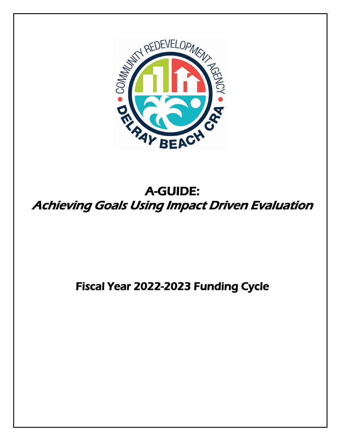

# A-GUIDE: Achieving Goals Using Impact Driven Evaluation

# Fiscal Year 2022-2023 Funding Cycle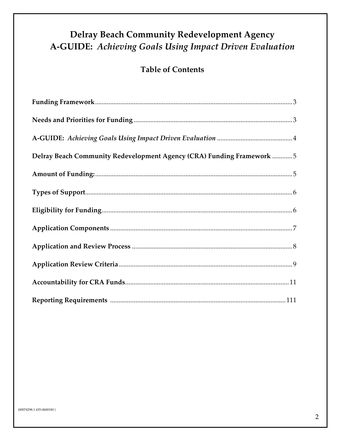## **Delray Beach Community Redevelopment Agency** A-GUIDE: Achieving Goals Using Impact Driven Evaluation

## **Table of Contents**

| Delray Beach Community Redevelopment Agency (CRA) Funding Framework 5 |
|-----------------------------------------------------------------------|
|                                                                       |
|                                                                       |
|                                                                       |
|                                                                       |
|                                                                       |
|                                                                       |
|                                                                       |
|                                                                       |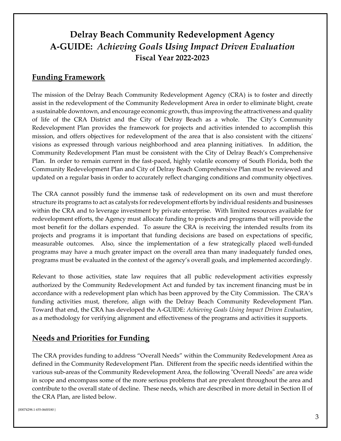## <span id="page-2-0"></span>**Delray Beach Community Redevelopment Agency A-GUIDE:** *Achieving Goals Using Impact Driven Evaluation* **Fiscal Year 2022-2023**

### **Funding Framework**

The mission of the Delray Beach Community Redevelopment Agency (CRA) is to foster and directly assist in the redevelopment of the Community Redevelopment Area in order to eliminate blight, create a sustainable downtown, and encourage economic growth, thus improving the attractiveness and quality of life of the CRA District and the City of Delray Beach as a whole. The City's Community Redevelopment Plan provides the framework for projects and activities intended to accomplish this mission, and offers objectives for redevelopment of the area that is also consistent with the citizens' visions as expressed through various neighborhood and area planning initiatives. In addition, the Community Redevelopment Plan must be consistent with the City of Delray Beach's Comprehensive Plan. In order to remain current in the fast-paced, highly volatile economy of South Florida, both the Community Redevelopment Plan and City of Delray Beach Comprehensive Plan must be reviewed and updated on a regular basis in order to accurately reflect changing conditions and community objectives.

The CRA cannot possibly fund the immense task of redevelopment on its own and must therefore structure its programs to act as catalysts for redevelopment efforts by individual residents and businesses within the CRA and to leverage investment by private enterprise. With limited resources available for redevelopment efforts, the Agency must allocate funding to projects and programs that will provide the most benefit for the dollars expended. To assure the CRA is receiving the intended results from its projects and programs it is important that funding decisions are based on expectations of specific, measurable outcomes. Also, since the implementation of a few strategically placed well-funded programs may have a much greater impact on the overall area than many inadequately funded ones, programs must be evaluated in the context of the agency's overall goals, and implemented accordingly.

Relevant to those activities, state law requires that all public redevelopment activities expressly authorized by the Community Redevelopment Act and funded by tax increment financing must be in accordance with a redevelopment plan which has been approved by the City Commission. The CRA's funding activities must, therefore, align with the Delray Beach Community Redevelopment Plan. Toward that end, the CRA has developed the A-GUIDE: *Achieving Goals Using Impact Driven Evaluation*, as a methodology for verifying alignment and effectiveness of the programs and activities it supports.

## <span id="page-2-1"></span>**Needs and Priorities for Funding**

The CRA provides funding to address "Overall Needs" within the Community Redevelopment Area as defined in the Community Redevelopment Plan. Different from the specific needs identified within the various sub-areas of the Community Redevelopment Area, the following "Overall Needs" are area wide in scope and encompass some of the more serious problems that are prevalent throughout the area and contribute to the overall state of decline. These needs, which are described in more detail in Section II of the CRA Plan, are listed below.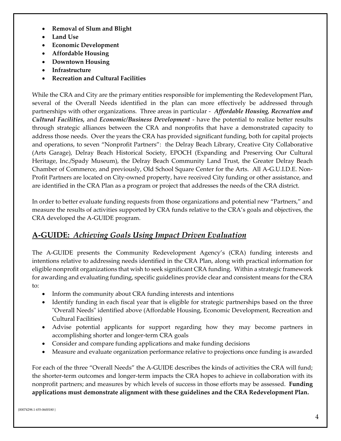- **Removal of Slum and Blight**
- **Land Use**
- **Economic Development**
- **Affordable Housing**
- **Downtown Housing**
- **Infrastructure**
- **Recreation and Cultural Facilities**

While the CRA and City are the primary entities responsible for implementing the Redevelopment Plan, several of the Overall Needs identified in the plan can more effectively be addressed through partnerships with other organizations. Three areas in particular - *Affordable Housing, Recreation and Cultural Facilities,* and *Economic/Business Development* - have the potential to realize better results through strategic alliances between the CRA and nonprofits that have a demonstrated capacity to address those needs. Over the years the CRA has provided significant funding, both for capital projects and operations, to seven "Nonprofit Partners": the Delray Beach Library, Creative City Collaborative (Arts Garage), Delray Beach Historical Society, EPOCH (Expanding and Preserving Our Cultural Heritage, Inc./Spady Museum), the Delray Beach Community Land Trust, the Greater Delray Beach Chamber of Commerce, and previously, Old School Square Center for the Arts. All A-G.U.I.D.E. Non-Profit Partners are located on City-owned property, have received City funding or other assistance, and are identified in the CRA Plan as a program or project that addresses the needs of the CRA district.

In order to better evaluate funding requests from those organizations and potential new "Partners," and measure the results of activities supported by CRA funds relative to the CRA's goals and objectives, the CRA developed the A-GUIDE program.

### **A-GUIDE:** *Achieving Goals Using Impact Driven Evaluation*

The A-GUIDE presents the Community Redevelopment Agency's (CRA) funding interests and intentions relative to addressing needs identified in the CRA Plan, along with practical information for eligible nonprofit organizations that wish to seek significant CRA funding. Within a strategic framework for awarding and evaluating funding, specific guidelines provide clear and consistent means for the CRA to:

- <span id="page-3-0"></span>• Inform the community about CRA funding interests and intentions
- Identify funding in each fiscal year that is eligible for strategic partnerships based on the three "Overall Needs" identified above (Affordable Housing, Economic Development, Recreation and Cultural Facilities)
- Advise potential applicants for support regarding how they may become partners in accomplishing shorter and longer-term CRA goals
- Consider and compare funding applications and make funding decisions
- Measure and evaluate organization performance relative to projections once funding is awarded

For each of the three "Overall Needs" the A-GUIDE describes the kinds of activities the CRA will fund; the shorter-term outcomes and longer-term impacts the CRA hopes to achieve in collaboration with its nonprofit partners; and measures by which levels of success in those efforts may be assessed. **Funding applications must demonstrate alignment with these guidelines and the CRA Redevelopment Plan.**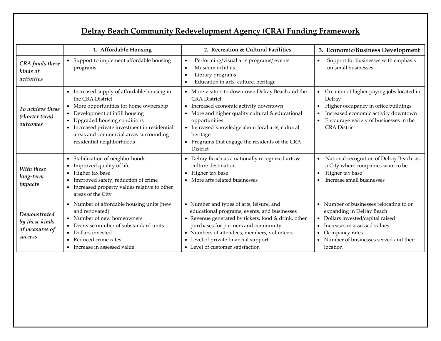## <span id="page-4-0"></span>**Delray Beach Community Redevelopment Agency (CRA) Funding Framework**

|                                                             | 1. Affordable Housing                                                                                                                                                                                                                                                                                           | 2. Recreation & Cultural Facilities                                                                                                                                                                                                                                                                                   | 3. Economic/Business Development                                                                                                                                                                                                                                    |
|-------------------------------------------------------------|-----------------------------------------------------------------------------------------------------------------------------------------------------------------------------------------------------------------------------------------------------------------------------------------------------------------|-----------------------------------------------------------------------------------------------------------------------------------------------------------------------------------------------------------------------------------------------------------------------------------------------------------------------|---------------------------------------------------------------------------------------------------------------------------------------------------------------------------------------------------------------------------------------------------------------------|
| <b>CRA</b> funds these<br>kinds of<br>activities            | • Support to implement affordable housing<br>programs                                                                                                                                                                                                                                                           | Performing/visual arts programs/ events<br>Museum exhibits<br>Library programs<br>Education in arts, culture, heritage                                                                                                                                                                                                | Support for businesses with emphasis<br>$\bullet$<br>on small businesses.                                                                                                                                                                                           |
| To achieve these<br>(shorter term)<br>outcomes              | • Increased supply of affordable housing in<br>the CRA District<br>• More opportunities for home ownership<br>• Development of infill housing<br>Upgraded housing conditions<br>Increased private investment in residential<br>$\bullet$<br>areas and commercial areas surrounding<br>residential neighborhoods | • More visitors to downtown Delray Beach and the<br><b>CRA</b> District<br>• Increased economic activity downtown<br>• More and higher quality cultural & educational<br>opportunities<br>• Increased knowledge about local arts, cultural<br>heritage<br>• Programs that engage the residents of the CRA<br>District | Creation of higher paying jobs located in<br>Delray<br>Higher occupancy in office buildings<br>Increased economic activity downtown<br>Encourage variety of businesses in the<br><b>CRA</b> District                                                                |
| With these<br>long-term<br>impacts                          | • Stabilization of neighborhoods<br>Improved quality of life<br>• Higher tax base<br>Improved safety; reduction of crime<br>Increased property values relative to other<br>areas of the City                                                                                                                    | • Delray Beach as a nationally recognized arts &<br>culture destination<br>• Higher tax base<br>• More arts related businesses                                                                                                                                                                                        | National recognition of Delray Beach as<br>$\bullet$<br>a City where companies want to be<br>Higher tax base<br>$\bullet$<br>Increase small businesses                                                                                                              |
| Demonstrated<br>by these kinds<br>of measures of<br>success | • Number of affordable housing units (new<br>and renovated)<br>• Number of new homeowners<br>• Decrease number of substandard units<br>Dollars invested<br>Reduced crime rates<br>• Increase in assessed value                                                                                                  | • Number and types of arts, leisure, and<br>educational programs, events, and businesses<br>• Revenue generated by tickets, food & drink, other<br>purchases for partners and community<br>• Numbers of attendees, members, volunteers<br>• Level of private financial support<br>• Level of customer satisfaction    | • Number of businesses relocating to or<br>expanding in Delray Beach<br>Dollars invested/capital raised<br>$\bullet$<br>Increases in assessed values<br>$\bullet$<br>Occupancy rates<br>$\bullet$<br>Number of businesses served and their<br>$\bullet$<br>location |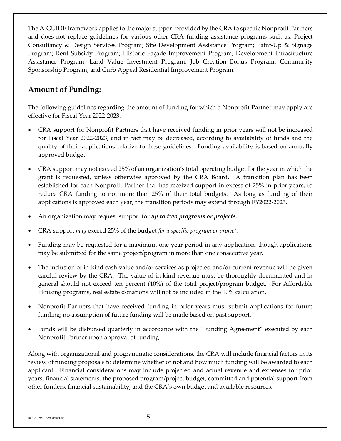The A-GUIDE framework applies to the major support provided by the CRA to specific Nonprofit Partners and does not replace guidelines for various other CRA funding assistance programs such as: Project Consultancy & Design Services Program; Site Development Assistance Program; Paint-Up & Signage Program; Rent Subsidy Program; Historic Façade Improvement Program; Development Infrastructure Assistance Program; Land Value Investment Program; Job Creation Bonus Program; Community Sponsorship Program, and Curb Appeal Residential Improvement Program.

## <span id="page-5-0"></span>**Amount of Funding:**

The following guidelines regarding the amount of funding for which a Nonprofit Partner may apply are effective for Fiscal Year 2022-2023.

- CRA support for Nonprofit Partners that have received funding in prior years will not be increased for Fiscal Year 2022-2023, and in fact may be decreased, according to availability of funds and the quality of their applications relative to these guidelines. Funding availability is based on annually approved budget.
- CRA support may not exceed 25% of an organization's total operating budget for the year in which the grant is requested, unless otherwise approved by the CRA Board. A transition plan has been established for each Nonprofit Partner that has received support in excess of 25% in prior years, to reduce CRA funding to not more than 25% of their total budgets. As long as funding of their applications is approved each year, the transition periods may extend through FY2022-2023.
- An organization may request support for *up to two programs or projects*.
- CRA support *may* exceed 25% of the budget *for a specific program or project*.
- Funding may be requested for a maximum one-year period in any application, though applications may be submitted for the same project/program in more than one consecutive year.
- The inclusion of in-kind cash value and/or services as projected and/or current revenue will be given careful review by the CRA. The value of in-kind revenue must be thoroughly documented and in general should not exceed ten percent (10%) of the total project/program budget. For Affordable Housing programs, real estate donations will not be included in the 10% calculation.
- Nonprofit Partners that have received funding in prior years must submit applications for future funding; no assumption of future funding will be made based on past support.
- Funds will be disbursed quarterly in accordance with the "Funding Agreement" executed by each Nonprofit Partner upon approval of funding.

Along with organizational and programmatic considerations, the CRA will include financial factors in its review of funding proposals to determine whether or not and how much funding will be awarded to each applicant. Financial considerations may include projected and actual revenue and expenses for prior years, financial statements, the proposed program/project budget, committed and potential support from other funders, financial sustainability, and the CRA's own budget and available resources.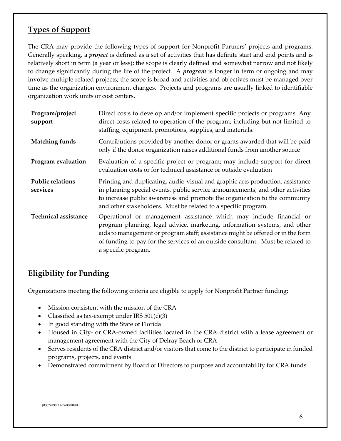## <span id="page-6-0"></span>**Types of Support**

The CRA may provide the following types of support for Nonprofit Partners' projects and programs. Generally speaking, a *project* is defined as a set of activities that has definite start and end points and is relatively short in term (a year or less); the scope is clearly defined and somewhat narrow and not likely to change significantly during the life of the project. A *program* is longer in term or ongoing and may involve multiple related projects; the scope is broad and activities and objectives must be managed over time as the organization environment changes. Projects and programs are usually linked to identifiable organization work units or cost centers.

| Program/project<br>support          | Direct costs to develop and/or implement specific projects or programs. Any<br>direct costs related to operation of the program, including but not limited to<br>staffing, equipment, promotions, supplies, and materials.                                                                                                                    |
|-------------------------------------|-----------------------------------------------------------------------------------------------------------------------------------------------------------------------------------------------------------------------------------------------------------------------------------------------------------------------------------------------|
| <b>Matching funds</b>               | Contributions provided by another donor or grants awarded that will be paid<br>only if the donor organization raises additional funds from another source                                                                                                                                                                                     |
| Program evaluation                  | Evaluation of a specific project or program; may include support for direct<br>evaluation costs or for technical assistance or outside evaluation                                                                                                                                                                                             |
| <b>Public relations</b><br>services | Printing and duplicating, audio-visual and graphic arts production, assistance<br>in planning special events, public service announcements, and other activities<br>to increase public awareness and promote the organization to the community<br>and other stakeholders. Must be related to a specific program.                              |
| <b>Technical assistance</b>         | Operational or management assistance which may include financial or<br>program planning, legal advice, marketing, information systems, and other<br>aids to management or program staff; assistance might be offered or in the form<br>of funding to pay for the services of an outside consultant. Must be related to<br>a specific program. |

### **Eligibility for Funding**

Organizations meeting the following criteria are eligible to apply for Nonprofit Partner funding:

- <span id="page-6-1"></span>• Mission consistent with the mission of the CRA
- Classified as tax-exempt under IRS  $501(c)(3)$
- In good standing with the State of Florida
- Housed in City- or CRA-owned facilities located in the CRA district with a lease agreement or management agreement with the City of Delray Beach or CRA
- Serves residents of the CRA district and/or visitors that come to the district to participate in funded programs, projects, and events
- Demonstrated commitment by Board of Directors to purpose and accountability for CRA funds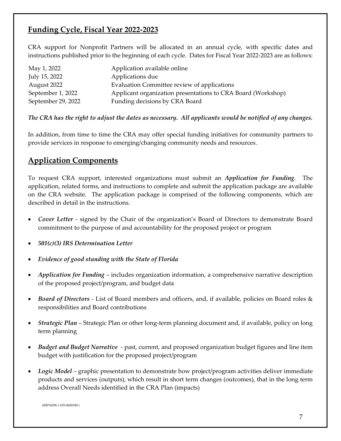#### **Funding Cycle, Fiscal Year 2022-2023**

CRA support for Nonprofit Partners will be allocated in an annual cycle, with specific dates and instructions published prior to the beginning of each cycle. Dates for Fiscal Year 2022-2023 are as follows:

| May 1, 2022        | Application available online                                 |
|--------------------|--------------------------------------------------------------|
| July 15, 2022      | Applications due                                             |
| August 2022        | Evaluation Committee review of applications                  |
| September 1, 2022  | Applicant organization presentations to CRA Board (Workshop) |
| September 29, 2022 | Funding decisions by CRA Board                               |

*The CRA has the right to adjust the dates as necessary. All applicants would be notified of any changes.* 

In addition, from time to time the CRA may offer special funding initiatives for community partners to provide services in response to emerging/changing community needs and resources.

#### <span id="page-7-0"></span>**Application Components**

To request CRA support, interested organizations must submit an *Application for Funding*. The application, related forms, and instructions to complete and submit the application package are available on the CRA website. The application package is comprised of the following components, which are described in detail in the instructions.

- *Cover Letter* signed by the Chair of the organization's Board of Directors to demonstrate Board commitment to the purpose of and accountability for the proposed project or program
- *501(c)(3) IRS Determination Letter*
- *Evidence of good standing with the State of Florida*
- *Application for Funding* includes organization information, a comprehensive narrative description of the proposed project/program, and budget data
- *Board of Directors* List of Board members and officers, and, if available, policies on Board roles & responsibilities and Board contributions
- *Strategic Plan* Strategic Plan or other long-term planning document and, if available, policy on long term planning
- *Budget and Budget Narrative* past, current, and proposed organization budget figures and line item budget with justification for the proposed project/program
- *Logic Model* graphic presentation to demonstrate how project/program activities deliver immediate products and services (outputs), which result in short term changes (outcomes), that in the long term address Overall Needs identified in the CRA Plan (impacts)

{00074298.1 655-0600180 }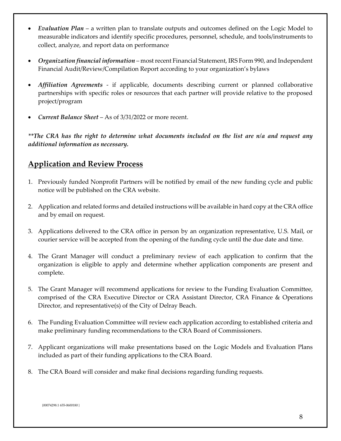- *Evaluation Plan* a written plan to translate outputs and outcomes defined on the Logic Model to measurable indicators and identify specific procedures, personnel, schedule, and tools/instruments to collect, analyze, and report data on performance
- *Organization financial information* most recent Financial Statement, IRS Form 990, and Independent Financial Audit/Review/Compilation Report according to your organization's bylaws
- *Affiliation Agreements* if applicable, documents describing current or planned collaborative partnerships with specific roles or resources that each partner will provide relative to the proposed project/program
- *Current Balance Sheet* As of 3/31/2022 or more recent.

*\*\*The CRA has the right to determine what documents included on the list are n/a and request any additional information as necessary.*

#### <span id="page-8-0"></span>**Application and Review Process**

- 1. Previously funded Nonprofit Partners will be notified by email of the new funding cycle and public notice will be published on the CRA website.
- 2. Application and related forms and detailed instructions will be available in hard copy at the CRA office and by email on request.
- 3. Applications delivered to the CRA office in person by an organization representative, U.S. Mail, or courier service will be accepted from the opening of the funding cycle until the due date and time.
- 4. The Grant Manager will conduct a preliminary review of each application to confirm that the organization is eligible to apply and determine whether application components are present and complete.
- 5. The Grant Manager will recommend applications for review to the Funding Evaluation Committee, comprised of the CRA Executive Director or CRA Assistant Director, CRA Finance & Operations Director, and representative(s) of the City of Delray Beach.
- 6. The Funding Evaluation Committee will review each application according to established criteria and make preliminary funding recommendations to the CRA Board of Commissioners.
- 7. Applicant organizations will make presentations based on the Logic Models and Evaluation Plans included as part of their funding applications to the CRA Board.
- 8. The CRA Board will consider and make final decisions regarding funding requests.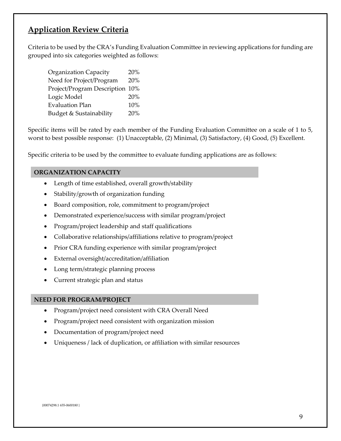#### **Application Review Criteria**

Criteria to be used by the CRA's Funding Evaluation Committee in reviewing applications for funding are grouped into six categories weighted as follows:

<span id="page-9-0"></span>

| Organization Capacity           | 20% |
|---------------------------------|-----|
| Need for Project/Program        | 20% |
| Project/Program Description 10% |     |
| Logic Model                     | 20% |
| <b>Evaluation Plan</b>          | 10% |
| Budget & Sustainability         | 20% |

Specific items will be rated by each member of the Funding Evaluation Committee on a scale of 1 to 5, worst to best possible response: (1) Unacceptable, (2) Minimal, (3) Satisfactory, (4) Good, (5) Excellent.

Specific criteria to be used by the committee to evaluate funding applications are as follows:

#### **ORGANIZATION CAPACITY**

- Length of time established, overall growth/stability
- Stability/growth of organization funding
- Board composition, role, commitment to program/project
- Demonstrated experience/success with similar program/project
- Program/project leadership and staff qualifications
- Collaborative relationships/affiliations relative to program/project
- Prior CRA funding experience with similar program/project
- External oversight/accreditation/affiliation
- Long term/strategic planning process
- Current strategic plan and status

#### **NEED FOR PROGRAM/PROJECT**

- Program/project need consistent with CRA Overall Need
- Program/project need consistent with organization mission
- Documentation of program/project need
- Uniqueness / lack of duplication, or affiliation with similar resources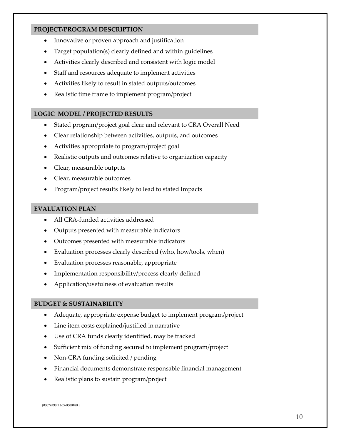#### **PROJECT/PROGRAM DESCRIPTION**

- Innovative or proven approach and justification
- Target population(s) clearly defined and within guidelines
- Activities clearly described and consistent with logic model
- Staff and resources adequate to implement activities
- Activities likely to result in stated outputs/outcomes
- Realistic time frame to implement program/project

#### **LOGIC MODEL / PROJECTED RESULTS**

- Stated program/project goal clear and relevant to CRA Overall Need
- Clear relationship between activities, outputs, and outcomes
- Activities appropriate to program/project goal
- Realistic outputs and outcomes relative to organization capacity
- Clear, measurable outputs
- Clear, measurable outcomes
- Program/project results likely to lead to stated Impacts

#### **EVALUATION PLAN**

- All CRA-funded activities addressed
- Outputs presented with measurable indicators
- Outcomes presented with measurable indicators
- Evaluation processes clearly described (who, how/tools, when)
- Evaluation processes reasonable, appropriate
- Implementation responsibility/process clearly defined
- Application/usefulness of evaluation results

#### **BUDGET & SUSTAINABILITY**

- Adequate, appropriate expense budget to implement program/project
- Line item costs explained/justified in narrative
- Use of CRA funds clearly identified, may be tracked
- Sufficient mix of funding secured to implement program/project
- Non-CRA funding solicited / pending
- Financial documents demonstrate responsable financial management
- Realistic plans to sustain program/project